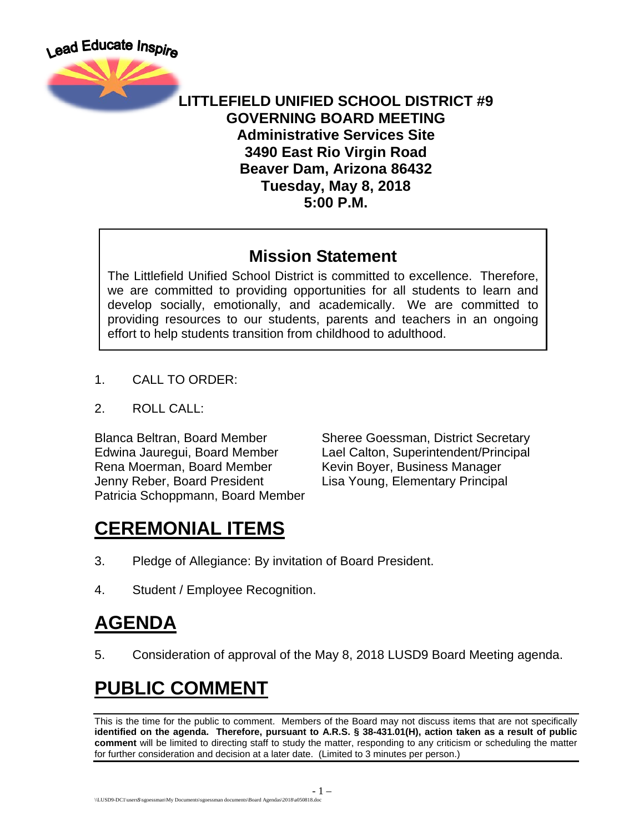

#### **LITTLEFIELD UNIFIED SCHOOL DISTRICT #9 GOVERNING BOARD MEETING Administrative Services Site 3490 East Rio Virgin Road Beaver Dam, Arizona 86432 Tuesday, May 8, 2018 5:00 P.M.**

#### **Mission Statement**

The Littlefield Unified School District is committed to excellence. Therefore, we are committed to providing opportunities for all students to learn and develop socially, emotionally, and academically. We are committed to providing resources to our students, parents and teachers in an ongoing effort to help students transition from childhood to adulthood.

- 1. CALL TO ORDER:
- 2. ROLL CALL:

Rena Moerman, Board Member Kevin Boyer, Business Manager Jenny Reber, Board President Lisa Young, Elementary Principal Patricia Schoppmann, Board Member

Blanca Beltran, Board Member Sheree Goessman, District Secretary Edwina Jauregui, Board Member Lael Calton, Superintendent/Principal

## **CEREMONIAL ITEMS**

- 3. Pledge of Allegiance: By invitation of Board President.
- 4. Student / Employee Recognition.

## **AGENDA**

5. Consideration of approval of the May 8, 2018 LUSD9 Board Meeting agenda.

# **PUBLIC COMMENT**

This is the time for the public to comment. Members of the Board may not discuss items that are not specifically **identified on the agenda. Therefore, pursuant to A.R.S. § 38-431.01(H), action taken as a result of public comment** will be limited to directing staff to study the matter, responding to any criticism or scheduling the matter for further consideration and decision at a later date. (Limited to 3 minutes per person.)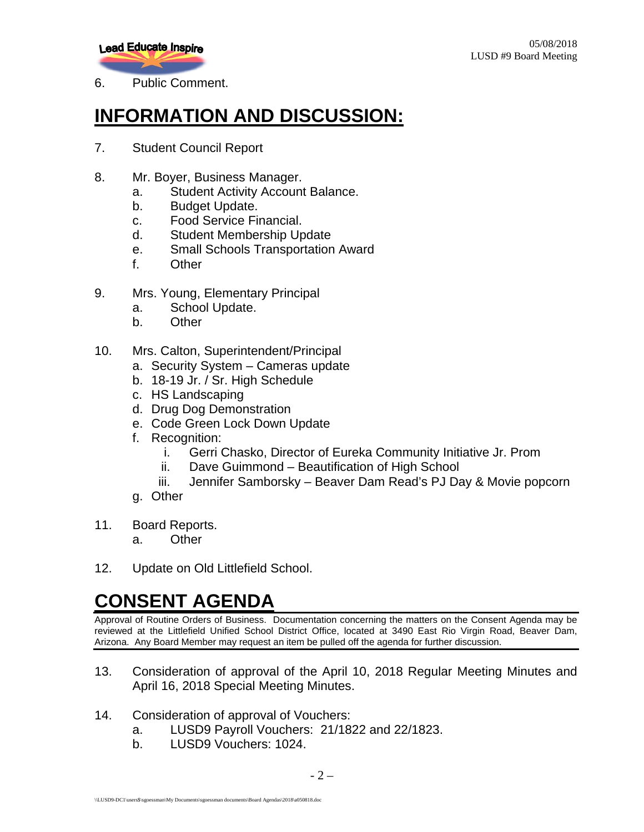**Lead Educate Inspire** 

6. Public Comment.

### **INFORMATION AND DISCUSSION:**

- 7. Student Council Report
- 8. Mr. Boyer, Business Manager.
	- a. Student Activity Account Balance.
	- b. Budget Update.
	- c. Food Service Financial.
	- d. Student Membership Update
	- e. Small Schools Transportation Award
	- f. Other
- 9. Mrs. Young, Elementary Principal
	- a. School Update.
	- b. Other
- 10. Mrs. Calton, Superintendent/Principal
	- a. Security System Cameras update
	- b. 18-19 Jr. / Sr. High Schedule
	- c. HS Landscaping
	- d. Drug Dog Demonstration
	- e. Code Green Lock Down Update
	- f. Recognition:
		- i. Gerri Chasko, Director of Eureka Community Initiative Jr. Prom
		- ii. Dave Guimmond Beautification of High School
		- iii. Jennifer Samborsky Beaver Dam Read's PJ Day & Movie popcorn
	- g. Other
- 11. Board Reports.
	- a. Other
- 12. Update on Old Littlefield School.

#### **CONSENT AGENDA**

Approval of Routine Orders of Business. Documentation concerning the matters on the Consent Agenda may be reviewed at the Littlefield Unified School District Office, located at 3490 East Rio Virgin Road, Beaver Dam, Arizona. Any Board Member may request an item be pulled off the agenda for further discussion.

- 13. Consideration of approval of the April 10, 2018 Regular Meeting Minutes and April 16, 2018 Special Meeting Minutes.
- 14. Consideration of approval of Vouchers:
	- a. LUSD9 Payroll Vouchers: 21/1822 and 22/1823.
	- b. LUSD9 Vouchers: 1024.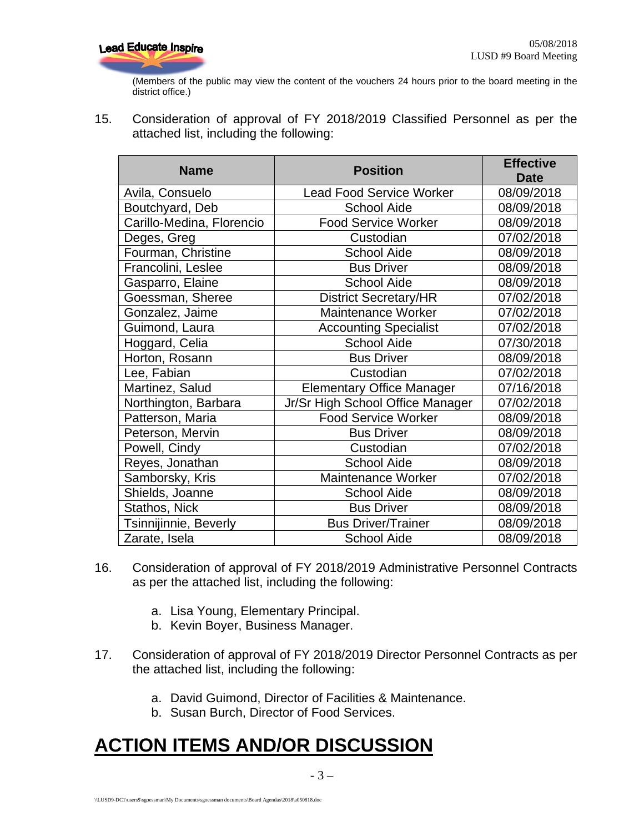

(Members of the public may view the content of the vouchers 24 hours prior to the board meeting in the district office.)

15. Consideration of approval of FY 2018/2019 Classified Personnel as per the attached list, including the following:

| <b>Name</b>               | <b>Position</b>                  | <b>Effective</b><br><b>Date</b> |
|---------------------------|----------------------------------|---------------------------------|
| Avila, Consuelo           | <b>Lead Food Service Worker</b>  | 08/09/2018                      |
| Boutchyard, Deb           | <b>School Aide</b>               | 08/09/2018                      |
| Carillo-Medina, Florencio | <b>Food Service Worker</b>       | 08/09/2018                      |
| Deges, Greg               | Custodian                        | 07/02/2018                      |
| Fourman, Christine        | <b>School Aide</b>               | 08/09/2018                      |
| Francolini, Leslee        | <b>Bus Driver</b>                | 08/09/2018                      |
| Gasparro, Elaine          | <b>School Aide</b>               | 08/09/2018                      |
| Goessman, Sheree          | <b>District Secretary/HR</b>     | 07/02/2018                      |
| Gonzalez, Jaime           | Maintenance Worker               | 07/02/2018                      |
| Guimond, Laura            | <b>Accounting Specialist</b>     | 07/02/2018                      |
| Hoggard, Celia            | <b>School Aide</b>               | 07/30/2018                      |
| Horton, Rosann            | <b>Bus Driver</b>                | 08/09/2018                      |
| Lee, Fabian               | Custodian                        | 07/02/2018                      |
| Martinez, Salud           | <b>Elementary Office Manager</b> | 07/16/2018                      |
| Northington, Barbara      | Jr/Sr High School Office Manager | 07/02/2018                      |
| Patterson, Maria          | <b>Food Service Worker</b>       | 08/09/2018                      |
| Peterson, Mervin          | <b>Bus Driver</b>                | 08/09/2018                      |
| Powell, Cindy             | Custodian                        | 07/02/2018                      |
| Reyes, Jonathan           | <b>School Aide</b>               | 08/09/2018                      |
| Samborsky, Kris           | Maintenance Worker               | 07/02/2018                      |
| Shields, Joanne           | <b>School Aide</b>               | 08/09/2018                      |
| Stathos, Nick             | <b>Bus Driver</b>                | 08/09/2018                      |
| Tsinnijinnie, Beverly     | <b>Bus Driver/Trainer</b>        | 08/09/2018                      |
| Zarate, Isela             | <b>School Aide</b>               | 08/09/2018                      |

- 16. Consideration of approval of FY 2018/2019 Administrative Personnel Contracts as per the attached list, including the following:
	- a. Lisa Young, Elementary Principal.
	- b. Kevin Boyer, Business Manager.
- 17. Consideration of approval of FY 2018/2019 Director Personnel Contracts as per the attached list, including the following:
	- a. David Guimond, Director of Facilities & Maintenance.
	- b. Susan Burch, Director of Food Services.

## **ACTION ITEMS AND/OR DISCUSSION**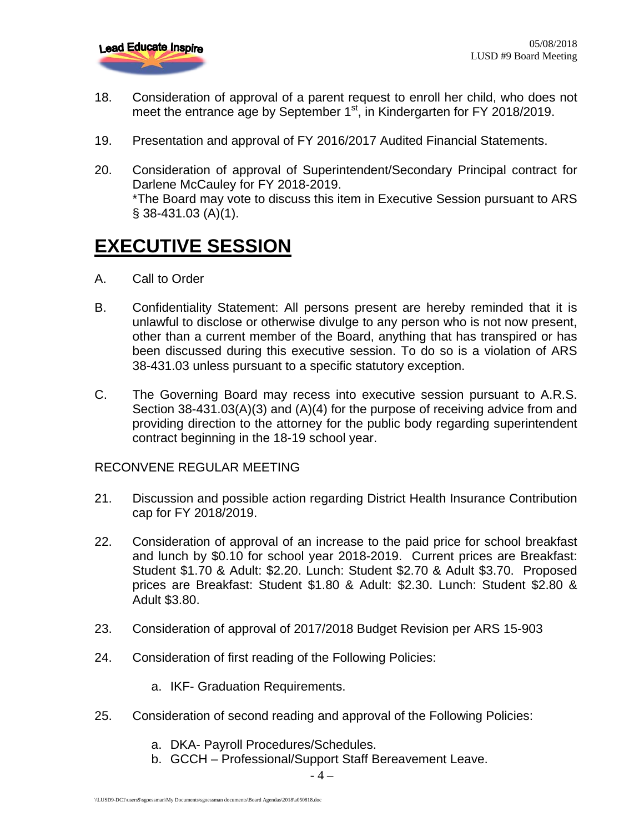

- 18. Consideration of approval of a parent request to enroll her child, who does not meet the entrance age by September 1<sup>st</sup>, in Kindergarten for FY 2018/2019.
- 19. Presentation and approval of FY 2016/2017 Audited Financial Statements.
- 20. Consideration of approval of Superintendent/Secondary Principal contract for Darlene McCauley for FY 2018-2019. \*The Board may vote to discuss this item in Executive Session pursuant to ARS § 38-431.03 (A)(1).

#### **EXECUTIVE SESSION**

- A. Call to Order
- B. Confidentiality Statement: All persons present are hereby reminded that it is unlawful to disclose or otherwise divulge to any person who is not now present, other than a current member of the Board, anything that has transpired or has been discussed during this executive session. To do so is a violation of ARS 38-431.03 unless pursuant to a specific statutory exception.
- C. The Governing Board may recess into executive session pursuant to A.R.S. Section 38-431.03(A)(3) and (A)(4) for the purpose of receiving advice from and providing direction to the attorney for the public body regarding superintendent contract beginning in the 18-19 school year.

#### RECONVENE REGULAR MEETING

- 21. Discussion and possible action regarding District Health Insurance Contribution cap for FY 2018/2019.
- 22. Consideration of approval of an increase to the paid price for school breakfast and lunch by \$0.10 for school year 2018-2019. Current prices are Breakfast: Student \$1.70 & Adult: \$2.20. Lunch: Student \$2.70 & Adult \$3.70. Proposed prices are Breakfast: Student \$1.80 & Adult: \$2.30. Lunch: Student \$2.80 & Adult \$3.80.
- 23. Consideration of approval of 2017/2018 Budget Revision per ARS 15-903
- 24. Consideration of first reading of the Following Policies:
	- a. IKF- Graduation Requirements.
- 25. Consideration of second reading and approval of the Following Policies:
	- a. DKA- Payroll Procedures/Schedules.
	- b. GCCH Professional/Support Staff Bereavement Leave.